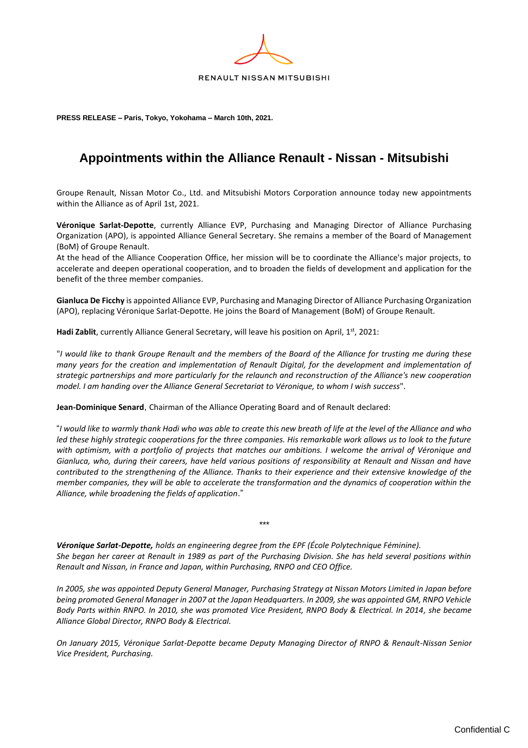

**PRESS RELEASE – Paris, Tokyo, Yokohama – March 10th, 2021.** 

## **Appointments within the Alliance Renault - Nissan - Mitsubishi**

Groupe Renault, Nissan Motor Co., Ltd. and Mitsubishi Motors Corporation announce today new appointments within the Alliance as of April 1st, 2021.

**Véronique Sarlat-Depotte**, currently Alliance EVP, Purchasing and Managing Director of Alliance Purchasing Organization (APO), is appointed Alliance General Secretary. She remains a member of the Board of Management (BoM) of Groupe Renault.

At the head of the Alliance Cooperation Office, her mission will be to coordinate the Alliance's major projects, to accelerate and deepen operational cooperation, and to broaden the fields of development and application for the benefit of the three member companies.

**Gianluca De Ficchy** is appointed Alliance EVP, Purchasing and Managing Director of Alliance Purchasing Organization (APO), replacing Véronique Sarlat-Depotte. He joins the Board of Management (BoM) of Groupe Renault.

Hadi Zablit, currently Alliance General Secretary, will leave his position on April, 1<sup>st</sup>, 2021:

"*I would like to thank Groupe Renault and the members of the Board of the Alliance for trusting me during these many years for the creation and implementation of Renault Digital, for the development and implementation of strategic partnerships and more particularly for the relaunch and reconstruction of the Alliance's new cooperation model. I am handing over the Alliance General Secretariat to Véronique, to whom I wish success*".

**Jean-Dominique Senard**, Chairman of the Alliance Operating Board and of Renault declared:

"*I would like to warmly thank Hadi who was able to create this new breath of life at the level of the Alliance and who*  led these highly strategic cooperations for the three companies. His remarkable work allows us to look to the future *with optimism, with a portfolio of projects that matches our ambitions. I welcome the arrival of Véronique and Gianluca, who, during their careers, have held various positions of responsibility at Renault and Nissan and have contributed to the strengthening of the Alliance. Thanks to their experience and their extensive knowledge of the member companies, they will be able to accelerate the transformation and the dynamics of cooperation within the Alliance, while broadening the fields of application*."

*Véronique Sarlat-Depotte, holds an engineering degree from the EPF (École Polytechnique Féminine). She began her career at Renault in 1989 as part of the Purchasing Division. She has held several positions within Renault and Nissan, in France and Japan, within Purchasing, RNPO and CEO Office.*

*\*\*\**

*In 2005, she was appointed Deputy General Manager, Purchasing Strategy at Nissan Motors Limited in Japan before being promoted General Manager in 2007 at the Japan Headquarters. In 2009, she was appointed GM, RNPO Vehicle Body Parts within RNPO. In 2010, she was promoted Vice President, RNPO Body & Electrical. In 2014, she became Alliance Global Director, RNPO Body & Electrical.*

*On January 2015, Véronique Sarlat-Depotte became Deputy Managing Director of RNPO & Renault-Nissan Senior Vice President, Purchasing.*